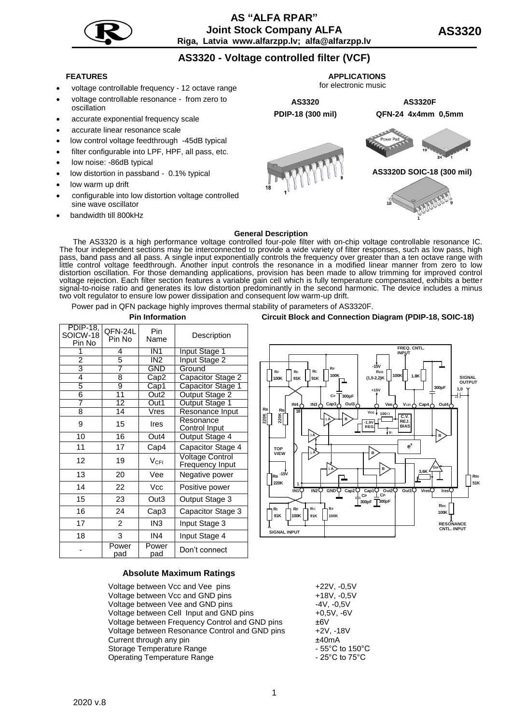

## **AS "АLFA RPAR" Joint Stock Company ALFA Riga, Latvia www.alfarzpp.lv; alfa@alfarzpp.lv**

# **AS3320 - Voltage controlled filter (VCF)**

- voltage controllable frequency 12 octave range
- voltage controllable resonance from zero to oscillation
- accurate exponential frequency scale
- accurate linear resonance scale
- low control voltage feedthrough -45dB typical
- filter configurable into LPF, HPF, all pass, etc.
- low noise: -86dB typical
- low distortion in passband 0.1% typical
- low warm up drift
- configurable into low distortion voltage controlled sine wave oscillator
- bandwidth till 800kHz



#### **General Description**

The AS3320 is a high performance voltage controlled four-pole filter with on-chip voltage controllable resonance IC. The four independent sections may be interconnected to provide a wide variety of filter responses, such as low pass, high pass, band pass and all pass. A single input exponentially controls the frequency over greater than a ten octave range with little control voltage feedthrough. Another input controls the resonance in a modified linear manner from zero to low distortion oscillation. For those demanding applications, provision has been made to allow trimming for improved control voltage rejection. Each filter section features a variable gain cell which is fully temperature compensated, exhibits a better signal-to-noise ratio and generates its low distortion predominantly in the second harmonic. The device includes a minus two volt regulator to ensure low power dissipation and consequent low warm-up drift.

Power pad in QFN package highly improves thermal stability of parameters of AS3320F.

| PDIP-18,<br>SOICW-18<br>Pin No | QFN-24L<br>Pin No | Pin<br>Name               | Description                        |  |
|--------------------------------|-------------------|---------------------------|------------------------------------|--|
| 1                              | 4                 | IN <sub>1</sub>           | <b>Input Stage 1</b>               |  |
| $\overline{2}$                 | 5                 | IN <sub>2</sub>           | Input Stage 2                      |  |
| 3                              | 7                 | <b>GND</b>                | Ground                             |  |
| 4                              | 8                 | Cap2                      | Capacitor Stage 2                  |  |
| 5                              | 9                 | $\overline{\text{Cap}}$ 1 | Capacitor Stage 1                  |  |
| 6                              | 11                | Out <sub>2</sub>          | Output Stage 2                     |  |
| $\overline{7}$                 | $\overline{12}$   | Out1                      | <b>Output Stage 1</b>              |  |
| 8                              | 14                | Vres                      | Resonance Input                    |  |
| 9                              | 15                | Ires                      | Resonance<br>Control Input         |  |
| 10                             | 16                | Out4                      | Output Stage 4                     |  |
| 11                             | 17                | Cap4                      | Capacitor Stage 4                  |  |
| 12                             | 19                | $V_{\text{CFI}}$          | Voltage Control<br>Frequency Input |  |
| 13                             | 20                | Vee                       | Negative power                     |  |
| 14                             | 22                | Vcc                       | Positive power                     |  |
| 15                             | 23                | Out3                      | Output Stage 3                     |  |
| 16                             | 24                | Cap3                      | Capacitor Stage 3                  |  |
| 17                             | $\overline{c}$    | IN <sub>3</sub>           | Input Stage 3                      |  |
| 18                             | 3                 | IN4                       | Input Stage 4                      |  |
|                                | Power<br>pad      | Power<br>pad              | Don't connect                      |  |

**Pin Information Circuit Block and Connection Diagram (PDIP-18, SOIC-18)**



#### **Absolute Maximum Ratings**

Voltage between Vcc and Vee pins Voltage between Vcc and GND pins Voltage between Vee and GND pins Voltage between Cell Input and GND pins Voltage between Frequency Control and GND pins Voltage between Resonance Control and GND pins Current through any pin Storage Temperature Range Operating Temperature Range

| +22V, -0.5V     |
|-----------------|
| +18V, -0,5V     |
| -4V. -0.5V      |
| +0.5V. -6V      |
| ±6V             |
| +2V. -18V       |
| +40mA           |
| - 55°C to 150°C |
| - 25°C to 75°C  |
|                 |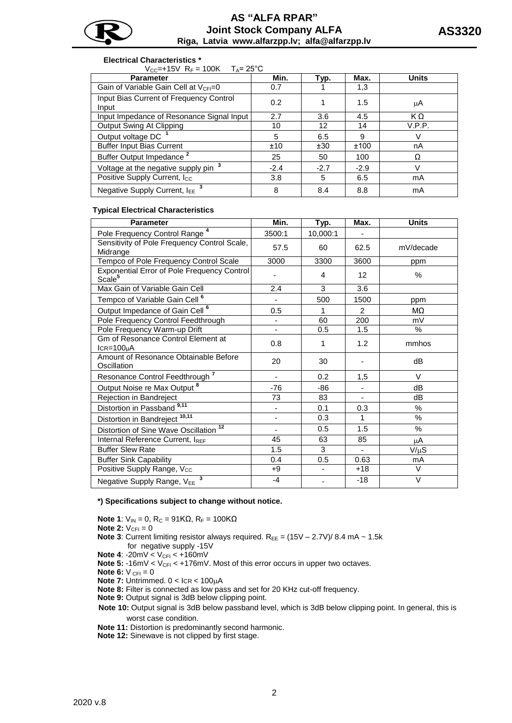

### **Electrical Characteristics \***

 $V_{CC}$ =+15V R<sub>F</sub> = 100K T<sub>A</sub>= 25°C

| <b>Parameter</b>                                  | Min.   | Typ.   | Max.   | <b>Units</b> |
|---------------------------------------------------|--------|--------|--------|--------------|
| Gain of Variable Gain Cell at V <sub>CFI</sub> =0 | 0.7    |        | 1,3    |              |
| Input Bias Current of Frequency Control<br>Input  | 0.2    |        | 1.5    | μA           |
| Input Impedance of Resonance Signal Input         | 2.7    | 3.6    | 4.5    | KΩ           |
| Output Swing At Clipping                          | 10     | 12     | 14     | V.P.P.       |
| Output voltage DC                                 | 5      | 6.5    | 9      |              |
| <b>Buffer Input Bias Current</b>                  | ±10    | ±30    | ±100   | nA           |
| Buffer Output Impedance <sup>2</sup>              | 25     | 50     | 100    | Ω            |
| Voltage at the negative supply pin <sup>3</sup>   | $-2.4$ | $-2.7$ | $-2.9$ |              |
| Positive Supply Current, I <sub>CC</sub>          | 3.8    | 5      | 6.5    | mA           |
| Negative Supply Current, IEE                      | 8      | 8.4    | 8.8    | mA           |

### **Typical Electrical Characteristics**

| <b>Parameter</b>                                                  | Min.   | Typ.                     | Max.           | <b>Units</b> |
|-------------------------------------------------------------------|--------|--------------------------|----------------|--------------|
| Pole Frequency Control Range <sup>4</sup>                         | 3500:1 | 10,000:1                 |                |              |
| Sensitivity of Pole Frequency Control Scale,<br>Midrange          | 57.5   | 60                       | 62.5           | mV/decade    |
| Tempco of Pole Frequency Control Scale                            | 3000   | 3300                     | 3600           | ppm          |
| Exponential Error of Pole Frequency Control<br>Scale <sup>5</sup> |        | 4                        | 12             | $\%$         |
| Max Gain of Variable Gain Cell                                    | 2.4    | 3                        | 3.6            |              |
| Tempco of Variable Gain Cell <sup>6</sup>                         |        | 500                      | 1500           | ppm          |
| Output Impedance of Gain Cell <sup>6</sup>                        | 0.5    | 1                        | $\overline{2}$ | MΩ           |
| Pole Frequency Control Feedthrough                                |        | 60                       | 200            | mV           |
| Pole Frequency Warm-up Drift                                      |        | 0.5                      | 1.5            | %            |
| Gm of Resonance Control Element at<br>$ICR = 100µA$               | 0.8    | 1                        | 1.2            | mmhos        |
| Amount of Resonance Obtainable Before<br>Oscillation              | 20     | 30                       |                | dB           |
| Resonance Control Feedthrough <sup>7</sup>                        |        | 0.2                      | 1,5            | V            |
| Output Noise re Max Output <sup>8</sup>                           | $-76$  | $-86$                    |                | dB           |
| Rejection in Bandreject                                           | 73     | 83                       |                | dB           |
| Distortion in Passband <sup>9,11</sup>                            |        | 0.1                      | 0.3            | $\%$         |
| Distortion in Bandreject <sup>10,11</sup>                         |        | 0.3                      | 1              | $\%$         |
| Distortion of Sine Wave Oscillation <sup>12</sup>                 |        | 0.5                      | 1.5            | %            |
| Internal Reference Current, IREF                                  | 45     | 63                       | 85             | μA           |
| <b>Buffer Slew Rate</b>                                           | 1.5    | 3                        | $\blacksquare$ | V/μS         |
| <b>Buffer Sink Capability</b>                                     | 0.4    | 0.5                      | 0.63           | mA           |
| Positive Supply Range, Vcc                                        | $+9$   | $\overline{\phantom{a}}$ | $+18$          | V            |
| Negative Supply Range, VEE <sup>3</sup>                           | $-4$   |                          | $-18$          | $\vee$       |

#### **\*) Specifications subject to change without notice.**

**Note 1**:  $V_{IN} = 0$ ,  $R_C = 91KΩ$ ,  $R_F = 100KΩ$ 

**Note 2:**  $V_{CFI} = 0$ 

- **Note 3**: Current limiting resistor always required.  $R_{EE} = (15V 2.7V)/8.4$  mA  $\sim 1.5k$ for negative supply -15V
- **Note 4: -20mV < V<sub>CFI</sub> < +160mV**
- **Note 5:** -16mV < V<sub>CFI</sub> < +176mV. Most of this error occurs in upper two octaves.

**Note 6:**  $V_{CFI} = 0$ 

- **Note 7: Untrimmed. 0 < ICR < 100uA**
- **Note 8:** Filter is connected as low pass and set for 20 KHz cut-off frequency.
- **Note 9:** Output signal is 3dB below clipping point.
- **Note 10:** Output signal is 3dB below passband level, which is 3dB below clipping point. In general, this is worst case condition.
- **Note 11:** Distortion is predominantly second harmonic.
- **Note 12:** Sinewave is not clipped by first stage.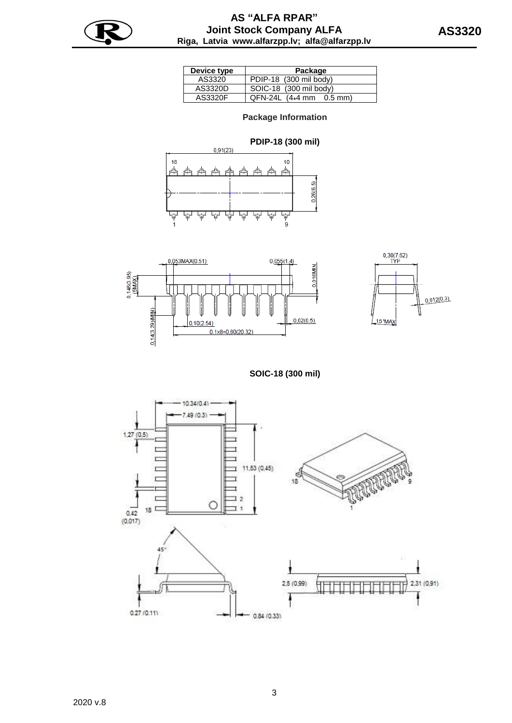

| Device type | Package                       |
|-------------|-------------------------------|
| AS3320      | PDIP-18 (300 mil body)        |
| AS3320D     | SOIC-18 (300 mil body)        |
| AS3320F     | $QFN-24L$ $(4*4$ mm $0.5$ mm) |

## **Package Information**







**SOIC-18 (300 mil)**